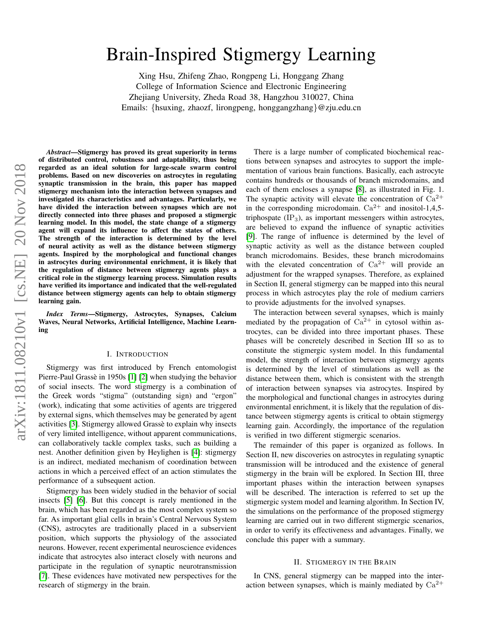# arXiv:1811.08210v1 [cs.NE] 20 Nov 2018 arXiv:1811.08210v1 [cs.NE] 20 Nov 2018

# Brain-Inspired Stigmergy Learning

Xing Hsu, Zhifeng Zhao, Rongpeng Li, Honggang Zhang College of Information Science and Electronic Engineering Zhejiang University, Zheda Road 38, Hangzhou 310027, China Emails: {hsuxing, zhaozf, lirongpeng, honggangzhang}@zju.edu.cn

*Abstract*—Stigmergy has proved its great superiority in terms of distributed control, robustness and adaptability, thus being regarded as an ideal solution for large-scale swarm control problems. Based on new discoveries on astrocytes in regulating synaptic transmission in the brain, this paper has mapped stigmergy mechanism into the interaction between synapses and investigated its characteristics and advantages. Particularly, we have divided the interaction between synapses which are not directly connected into three phases and proposed a stigmergic learning model. In this model, the state change of a stigmergy agent will expand its influence to affect the states of others. The strength of the interaction is determined by the level of neural activity as well as the distance between stigmergy agents. Inspired by the morphological and functional changes in astrocytes during environmental enrichment, it is likely that the regulation of distance between stigmergy agents plays a critical role in the stigmergy learning process. Simulation results have verified its importance and indicated that the well-regulated distance between stigmergy agents can help to obtain stigmergy learning gain.

*Index Terms*—Stigmergy, Astrocytes, Synapses, Calcium Waves, Neural Networks, Artificial Intelligence, Machine Learning

## I. INTRODUCTION

Stigmergy was first introduced by French entomologist Pierre-Paul Grassè in 1950s [\[1\]](#page-8-0) [\[2\]](#page-8-1) when studying the behavior of social insects. The word stigmergy is a combination of the Greek words "stigma" (outstanding sign) and "ergon" (work), indicating that some activities of agents are triggered by external signs, which themselves may be generated by agent activities [\[3\]](#page-8-2). Stigmergy allowed Grasse to explain why insects ` of very limited intelligence, without apparent communications, can collaboratively tackle complex tasks, such as building a nest. Another definition given by Heylighen is [\[4\]](#page-8-3): stigmergy is an indirect, mediated mechanism of coordination between actions in which a perceived effect of an action stimulates the performance of a subsequent action.

Stigmergy has been widely studied in the behavior of social insects [\[5\]](#page-8-4) [\[6\]](#page-8-5). But this concept is rarely mentioned in the brain, which has been regarded as the most complex system so far. As important glial cells in brain's Central Nervous System (CNS), astrocytes are traditionally placed in a subservient position, which supports the physiology of the associated neurons. However, recent experimental neuroscience evidences indicate that astrocytes also interact closely with neurons and participate in the regulation of synaptic neurotransmission [\[7\]](#page-8-6). These evidences have motivated new perspectives for the research of stigmergy in the brain.

There is a large number of complicated biochemical reactions between synapses and astrocytes to support the implementation of various brain functions. Basically, each astrocyte contains hundreds or thousands of branch microdomains, and each of them encloses a synapse [\[8\]](#page-8-7), as illustrated in Fig. 1. The synaptic activity will elevate the concentration of  $Ca^{2+}$ in the corresponding microdomain.  $Ca^{2+}$  and inositol-1,4,5triphospate  $(\text{IP}_3)$ , as important messengers within astrocytes, are believed to expand the influence of synaptic activities [\[9\]](#page-8-8). The range of influence is determined by the level of synaptic activity as well as the distance between coupled branch microdomains. Besides, these branch microdomains with the elevated concentration of  $Ca^{2+}$  will provide an adjustment for the wrapped synapses. Therefore, as explained in Section II, general stigmergy can be mapped into this neural process in which astrocytes play the role of medium carriers to provide adjustments for the involved synapses.

The interaction between several synapses, which is mainly mediated by the propagation of  $Ca^{2+}$  in cytosol within astrocytes, can be divided into three important phases. These phases will be concretely described in Section III so as to constitute the stigmergic system model. In this fundamental model, the strength of interaction between stigmergy agents is determined by the level of stimulations as well as the distance between them, which is consistent with the strength of interaction between synapses via astrocytes. Inspired by the morphological and functional changes in astrocytes during environmental enrichment, it is likely that the regulation of distance between stigmergy agents is critical to obtain stigmergy learning gain. Accordingly, the importance of the regulation is verified in two different stigmergic scenarios.

The remainder of this paper is organized as follows. In Section II, new discoveries on astrocytes in regulating synaptic transmission will be introduced and the existence of general stigmergy in the brain will be explored. In Section III, three important phases within the interaction between synapses will be described. The interaction is referred to set up the stigmergic system model and learning algorithm. In Section IV, the simulations on the performance of the proposed stigmergy learning are carried out in two different stigmergic scenarios, in order to verify its effectiveness and advantages. Finally, we conclude this paper with a summary.

### II. STIGMERGY IN THE BRAIN

In CNS, general stigmergy can be mapped into the interaction between synapses, which is mainly mediated by  $Ca^{2+}$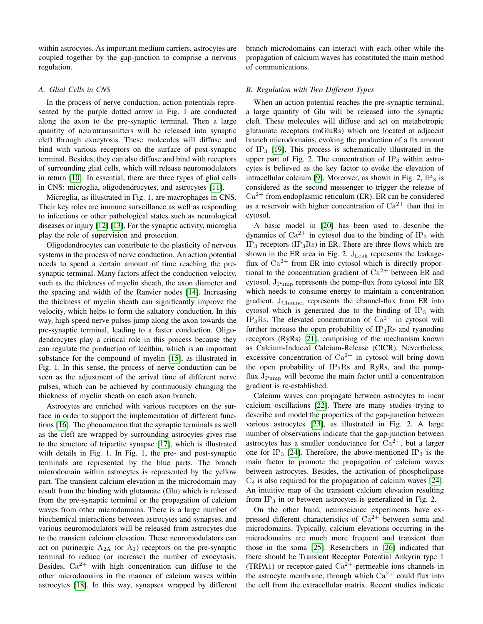within astrocytes. As important medium carriers, astrocytes are coupled together by the gap-junction to comprise a nervous regulation.

# *A. Glial Cells in CNS*

In the process of nerve conduction, action potentials represented by the purple dotted arrow in Fig. 1 are conducted along the axon to the pre-synaptic terminal. Then a large quantity of neurotransmitters will be released into synaptic cleft through exocytosis. These molecules will diffuse and bind with various receptors on the surface of post-synaptic terminal. Besides, they can also diffuse and bind with receptors of surrounding glial cells, which will release neuromodulators in return [\[10\]](#page-8-9). In essential, there are three types of glial cells in CNS: microglia, oligodendrocytes, and astrocytes [\[11\]](#page-8-10).

Microglia, as illustrated in Fig. 1, are macrophages in CNS. Their key roles are immune surveillance as well as responding to infections or other pathological states such as neurological diseases or injury [\[12\]](#page-8-11) [\[13\]](#page-8-12). For the synaptic activity, microglia play the role of supervision and protection.

Oligodendrocytes can contribute to the plasticity of nervous systems in the process of nerve conduction. An action potential needs to spend a certain amount of time reaching the presynaptic terminal. Many factors affect the conduction velocity, such as the thickness of myelin sheath, the axon diameter and the spacing and width of the Ranvier nodes [\[14\]](#page-8-13). Increasing the thickness of myelin sheath can significantly improve the velocity, which helps to form the saltatory conduction. In this way, high-speed nerve pulses jump along the axon towards the pre-synaptic terminal, leading to a faster conduction. Oligodendrocytes play a critical role in this process because they can regulate the production of lecithin, which is an important substance for the compound of myelin [\[15\]](#page-8-14), as illustrated in Fig. 1. In this sense, the process of nerve conduction can be seen as the adjustment of the arrival time of different nerve pulses, which can be achieved by continuously changing the thickness of myelin sheath on each axon branch.

Astrocytes are enriched with various receptors on the surface in order to support the implementation of different functions [\[16\]](#page-8-15). The phenomenon that the synaptic terminals as well as the cleft are wrapped by surrounding astrocytes gives rise to the structure of tripartite synapse [\[17\]](#page-8-16), which is illustrated with details in Fig. 1. In Fig. 1, the pre- and post-synaptic terminals are represented by the blue parts. The branch microdomain within astrocytes is represented by the yellow part. The transient calcium elevation in the microdomain may result from the binding with glutamate (Glu) which is released from the pre-synaptic terminal or the propagation of calcium waves from other microdomains. There is a large number of biochemical interactions between astrocytes and synapses, and various neuromodulators will be released from astrocytes due to the transient calcium elevation. These neuromodulators can act on purinergic  $A_{2A}$  (or  $A_1$ ) receptors on the pre-synaptic terminal to reduce (or increase) the number of exocytosis. Besides,  $Ca^{2+}$  with high concentration can diffuse to the other microdomains in the manner of calcium waves within astrocytes [\[18\]](#page-8-17). In this way, synapses wrapped by different branch microdomains can interact with each other while the propagation of calcium waves has constituted the main method of communications.

## *B. Regulation with Two Different Types*

When an action potential reaches the pre-synaptic terminal, a large quantity of Glu will be released into the synaptic cleft. These molecules will diffuse and act on metabotropic glutamate receptors (mGluRs) which are located at adjacent branch microdomains, evoking the production of a fix amount of  $IP_3$  [\[19\]](#page-8-18). This process is schematically illustrated in the upper part of Fig. 2. The concentration of  $IP_3$  within astrocytes is believed as the key factor to evoke the elevation of intracellular calcium [\[9\]](#page-8-8). Moreover, as shown in Fig. 2,  $IP_3$  is considered as the second messenger to trigger the release of  $Ca^{2+}$  from endoplasmic reticulum (ER). ER can be considered as a reservoir with higher concentration of  $Ca^{2+}$  than that in cytosol.

A basic model in [\[20\]](#page-8-19) has been used to describe the dynamics of  $Ca^{2+}$  in cytosol due to the binding of IP<sub>3</sub> with  $IP_3$  receptors (IP<sub>3</sub>Rs) in ER. There are three flows which are shown in the ER area in Fig. 2.  $J_{Leak}$  represents the leakageflux of  $Ca^{2+}$  from ER into cytosol which is directly proportional to the concentration gradient of  $Ca^{2+}$  between ER and cytosol.  $J_{\text{Pump}}$  represents the pump-flux from cytosol into ER which needs to consume energy to maintain a concentration gradient.  $J_{\text{Channel}}$  represents the channel-flux from ER into cytosol which is generated due to the binding of  $IP_3$  with IP<sub>3</sub>Rs. The elevated concentration of  $Ca^{2+}$  in cytosol will further increase the open probability of  $IP_3Rs$  and ryanodine receptors (RyRs) [\[21\]](#page-8-20), comprising of the mechanism known as Calcium-Induced Calcium-Release (CICR). Nevertheless, excessive concentration of  $Ca^{2+}$  in cytosol will bring down the open probability of  $IP_3Rs$  and RyRs, and the pumpflux  $J_{\text{Pump}}$  will become the main factor until a concentration gradient is re-established.

Calcium waves can propagate between astrocytes to incur calcium oscillations [\[22\]](#page-8-21). There are many studies trying to describe and model the properties of the gap-junction between various astrocytes [\[23\]](#page-8-22), as illustrated in Fig. 2. A large number of observations indicate that the gap-junction between astrocytes has a smaller conductance for  $Ca^{2+}$ , but a larger one for IP<sub>3</sub> [\[24\]](#page-8-23). Therefore, the above-mentioned IP<sub>3</sub> is the main factor to promote the propagation of calcium waves between astrocytes. Besides, the activation of phospholipase  $C_{\delta}$  is also required for the propagation of calcium waves [\[24\]](#page-8-23). An intuitive map of the transient calcium elevation resulting from  $IP_3$  in or between astrocytes is generalized in Fig. 2.

On the other hand, neuroscience experiments have expressed different characteristics of  $Ca^{2+}$  between soma and microdomains. Typically, calcium elevations occurring in the microdomains are much more frequent and transient than those in the soma [\[25\]](#page-8-24). Researchers in [\[26\]](#page-8-25) indicated that there should be Transient Receptor Potential Ankyrin type 1 (TRPA1) or receptor-gated  $Ca^{2+}$ -permeable ions channels in the astrocyte membrane, through which  $Ca^{2+}$  could flux into the cell from the extracellular matrix. Recent studies indicate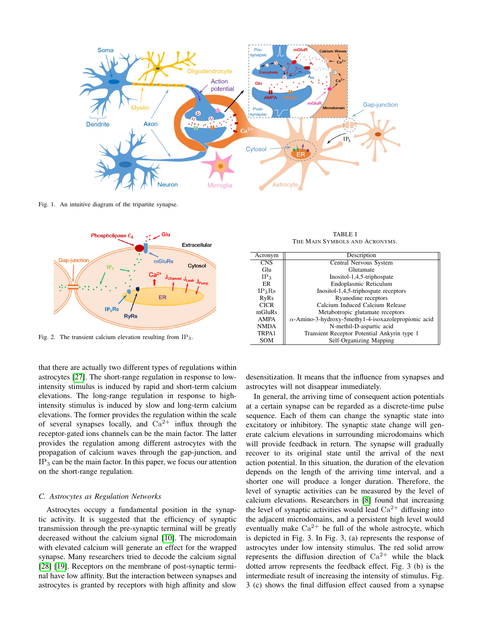

Fig. 1. An intuitive diagram of the tripartite synapse.



Fig. 2. The transient calcium elevation resulting from IP3.

TABLE I THE MAIN SYMBOLS AND ACRONYMS.

| Acronym         | Description                                                  |  |
|-----------------|--------------------------------------------------------------|--|
| <b>CNS</b>      | Central Nervous System                                       |  |
| Glu             | Glutamate                                                    |  |
| IP <sub>3</sub> | Inositol-1,4,5-triphospate                                   |  |
| ER              | Endoplasmic Reticulum                                        |  |
| $IP_3Rs$        | Inositol-1,4,5-triphospate receptors                         |  |
| <b>RyRs</b>     | Ryanodine receptors                                          |  |
| <b>CICR</b>     | Calcium Induced Calcium Release                              |  |
| mGluRs          | Metabotropic glutamate receptors                             |  |
| <b>AMPA</b>     | $\alpha$ -Amino-3-hydroxy-5methy1-4-isoxazole propionic acid |  |
| <b>NMDA</b>     | N-methil-D-aspartic acid                                     |  |
| TRPA1           | Transient Receptor Potential Ankyrin type 1                  |  |
| SOM             | Self-Organizing Mapping                                      |  |

that there are actually two different types of regulations within astrocytes [\[27\]](#page-8-26). The short-range regulation in response to lowintensity stimulus is induced by rapid and short-term calcium elevations. The long-range regulation in response to highintensity stimulus is induced by slow and long-term calcium elevations. The former provides the regulation within the scale of several synapses locally, and  $Ca^{2+}$  influx through the receptor-gated ions channels can be the main factor. The latter provides the regulation among different astrocytes with the propagation of calcium waves through the gap-junction, and  $IP<sub>3</sub>$  can be the main factor. In this paper, we focus our attention on the short-range regulation.

### *C. Astrocytes as Regulation Networks*

Astrocytes occupy a fundamental position in the synaptic activity. It is suggested that the efficiency of synaptic transmission through the pre-synaptic terminal will be greatly decreased without the calcium signal [\[10\]](#page-8-9). The microdomain with elevated calcium will generate an effect for the wrapped synapse. Many researchers tried to decode the calcium signal [\[28\]](#page-8-27) [\[19\]](#page-8-18). Receptors on the membrane of post-synaptic terminal have low affinity. But the interaction between synapses and astrocytes is granted by receptors with high affinity and slow

desensitization. It means that the influence from synapses and astrocytes will not disappear immediately.

In general, the arriving time of consequent action potentials at a certain synapse can be regarded as a discrete-time pulse sequence. Each of them can change the synaptic state into excitatory or inhibitory. The synaptic state change will generate calcium elevations in surrounding microdomains which will provide feedback in return. The synapse will gradually recover to its original state until the arrival of the next action potential. In this situation, the duration of the elevation depends on the length of the arriving time interval, and a shorter one will produce a longer duration. Therefore, the level of synaptic activities can be measured by the level of calcium elevations. Researchers in [\[8\]](#page-8-7) found that increasing the level of synaptic activities would lead  $Ca^{2+}$  diffusing into the adjacent microdomains, and a persistent high level would eventually make  $Ca^{2+}$  be full of the whole astrocyte, which is depicted in Fig. 3. In Fig. 3, (a) represents the response of astrocytes under low intensity stimulus. The red solid arrow represents the diffusion direction of  $Ca^{2+}$  while the black dotted arrow represents the feedback effect. Fig. 3 (b) is the intermediate result of increasing the intensity of stimulus. Fig. 3 (c) shows the final diffusion effect caused from a synapse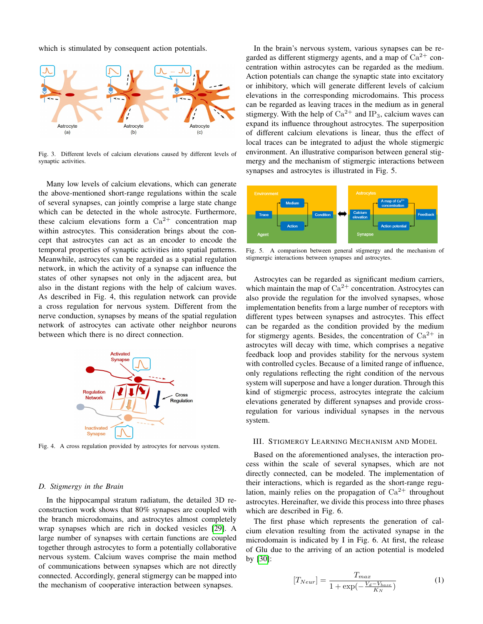which is stimulated by consequent action potentials.



Fig. 3. Different levels of calcium elevations caused by different levels of synaptic activities.

Many low levels of calcium elevations, which can generate the above-mentioned short-range regulations within the scale of several synapses, can jointly comprise a large state change which can be detected in the whole astrocyte. Furthermore, these calcium elevations form a  $Ca^{2+}$  concentration map within astrocytes. This consideration brings about the concept that astrocytes can act as an encoder to encode the temporal properties of synaptic activities into spatial patterns. Meanwhile, astrocytes can be regarded as a spatial regulation network, in which the activity of a synapse can influence the states of other synapses not only in the adjacent area, but also in the distant regions with the help of calcium waves. As described in Fig. 4, this regulation network can provide a cross regulation for nervous system. Different from the nerve conduction, synapses by means of the spatial regulation network of astrocytes can activate other neighbor neurons between which there is no direct connection.



Fig. 4. A cross regulation provided by astrocytes for nervous system.

### *D. Stigmergy in the Brain*

In the hippocampal stratum radiatum, the detailed 3D reconstruction work shows that 80% synapses are coupled with the branch microdomains, and astrocytes almost completely wrap synapses which are rich in docked vesicles [\[29\]](#page-8-28). A large number of synapses with certain functions are coupled together through astrocytes to form a potentially collaborative nervous system. Calcium waves comprise the main method of communications between synapses which are not directly connected. Accordingly, general stigmergy can be mapped into the mechanism of cooperative interaction between synapses.

In the brain's nervous system, various synapses can be regarded as different stigmergy agents, and a map of  $Ca^{2+}$  concentration within astrocytes can be regarded as the medium. Action potentials can change the synaptic state into excitatory or inhibitory, which will generate different levels of calcium elevations in the corresponding microdomains. This process can be regarded as leaving traces in the medium as in general stigmergy. With the help of  $Ca^{2+}$  and IP<sub>3</sub>, calcium waves can expand its influence throughout astrocytes. The superposition of different calcium elevations is linear, thus the effect of local traces can be integrated to adjust the whole stigmergic environment. An illustrative comparison between general stigmergy and the mechanism of stigmergic interactions between synapses and astrocytes is illustrated in Fig. 5.



Fig. 5. A comparison between general stigmergy and the mechanism of stigmergic interactions between synapses and astrocytes.

Astrocytes can be regarded as significant medium carriers, which maintain the map of  $Ca^{2+}$  concentration. Astrocytes can also provide the regulation for the involved synapses, whose implementation benefits from a large number of receptors with different types between synapses and astrocytes. This effect can be regarded as the condition provided by the medium for stigmergy agents. Besides, the concentration of  $Ca^{2+}$  in astrocytes will decay with time, which comprises a negative feedback loop and provides stability for the nervous system with controlled cycles. Because of a limited range of influence, only regulations reflecting the right condition of the nervous system will superpose and have a longer duration. Through this kind of stigmergic process, astrocytes integrate the calcium elevations generated by different synapses and provide crossregulation for various individual synapses in the nervous system.

### III. STIGMERGY LEARNING MECHANISM AND MODEL

Based on the aforementioned analyses, the interaction process within the scale of several synapses, which are not directly connected, can be modeled. The implementation of their interactions, which is regarded as the short-range regulation, mainly relies on the propagation of  $Ca^{2+}$  throughout astrocytes. Hereinafter, we divide this process into three phases which are described in Fig. 6.

The first phase which represents the generation of calcium elevation resulting from the activated synapse in the microdomain is indicated by I in Fig. 6. At first, the release of Glu due to the arriving of an action potential is modeled by [\[30\]](#page-8-29):

$$
[T_{Neur}] = \frac{T_{max}}{1 + \exp(-\frac{V_d - V_{base}}{K_N})}
$$
(1)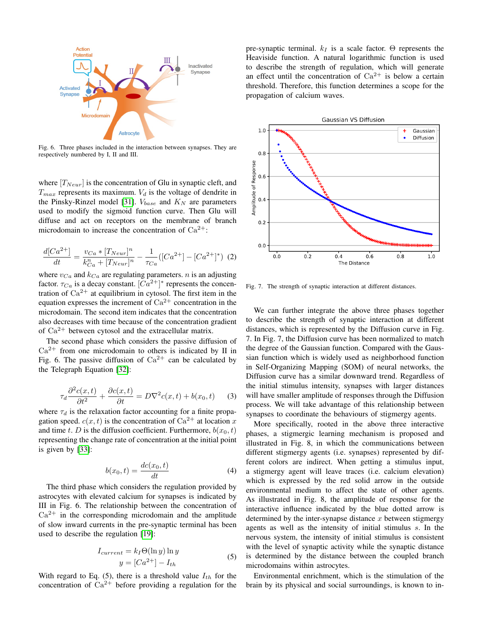

Fig. 6. Three phases included in the interaction between synapses. They are respectively numbered by I, II and III.

where  $[T_{Neur}]$  is the concentration of Glu in synaptic cleft, and  $T_{max}$  represents its maximum.  $V_d$  is the voltage of dendrite in the Pinsky-Rinzel model [\[31\]](#page-8-30).  $V_{base}$  and  $K_N$  are parameters used to modify the sigmoid function curve. Then Glu will diffuse and act on receptors on the membrane of branch microdomain to increase the concentration of  $Ca^{2+}$ :

$$
\frac{d[Ca^{2+}]}{dt} = \frac{v_{Ca} * [T_{Neur}]^n}{k_{Ca}^n + [T_{Neur}]^n} - \frac{1}{\tau_{Ca}}([Ca^{2+}] - [Ca^{2+}]^*) \tag{2}
$$

where  $v_{Ca}$  and  $k_{Ca}$  are regulating parameters. *n* is an adjusting factor.  $\tau_{Ca}$  is a decay constant.  $[Ca^{2+}]^*$  represents the concentration of  $Ca^{2+}$  at equilibrium in cytosol. The first item in the equation expresses the increment of  $Ca^{2+}$  concentration in the microdomain. The second item indicates that the concentration also decreases with time because of the concentration gradient of  $Ca^{2+}$  between cytosol and the extracellular matrix.

The second phase which considers the passive diffusion of  $Ca^{2+}$  from one microdomain to others is indicated by II in Fig. 6. The passive diffusion of  $Ca^{2+}$  can be calculated by the Telegraph Equation [\[32\]](#page-8-31):

$$
\tau_d \frac{\partial^2 c(x,t)}{\partial t^2} + \frac{\partial c(x,t)}{\partial t} = D \nabla^2 c(x,t) + b(x_0, t) \tag{3}
$$

where  $\tau_d$  is the relaxation factor accounting for a finite propagation speed.  $c(x, t)$  is the concentration of  $Ca^{2+}$  at location x and time t. D is the diffusion coefficient. Furthermore,  $b(x_0, t)$ representing the change rate of concentration at the initial point is given by [\[33\]](#page-9-0):

$$
b(x_0, t) = \frac{dc(x_0, t)}{dt} \tag{4}
$$

The third phase which considers the regulation provided by astrocytes with elevated calcium for synapses is indicated by III in Fig. 6. The relationship between the concentration of  $Ca^{2+}$  in the corresponding microdomain and the amplitude of slow inward currents in the pre-synaptic terminal has been used to describe the regulation [\[19\]](#page-8-18):

$$
I_{current} = k_I \Theta(\ln y) \ln y
$$
  
\n
$$
y = [Ca^{2+}] - I_{th}
$$
\n(5)

With regard to Eq. (5), there is a threshold value  $I_{th}$  for the concentration of  $Ca^{2+}$  before providing a regulation for the pre-synaptic terminal.  $k_I$  is a scale factor. Θ represents the Heaviside function. A natural logarithmic function is used to describe the strength of regulation, which will generate an effect until the concentration of  $Ca^{2+}$  is below a certain threshold. Therefore, this function determines a scope for the propagation of calcium waves.



Fig. 7. The strength of synaptic interaction at different distances.

We can further integrate the above three phases together to describe the strength of synaptic interaction at different distances, which is represented by the Diffusion curve in Fig. 7. In Fig. 7, the Diffusion curve has been normalized to match the degree of the Gaussian function. Compared with the Gaussian function which is widely used as neighborhood function in Self-Organizing Mapping (SOM) of neural networks, the Diffusion curve has a similar downward trend. Regardless of the initial stimulus intensity, synapses with larger distances will have smaller amplitude of responses through the Diffusion process. We will take advantage of this relationship between synapses to coordinate the behaviours of stigmergy agents.

More specifically, rooted in the above three interactive phases, a stigmergic learning mechanism is proposed and illustrated in Fig. 8, in which the communications between different stigmergy agents (i.e. synapses) represented by different colors are indirect. When getting a stimulus input, a stigmergy agent will leave traces (i.e. calcium elevation) which is expressed by the red solid arrow in the outside environmental medium to affect the state of other agents. As illustrated in Fig. 8, the amplitude of response for the interactive influence indicated by the blue dotted arrow is determined by the inter-synapse distance  $x$  between stigmergy agents as well as the intensity of initial stimulus s. In the nervous system, the intensity of initial stimulus is consistent with the level of synaptic activity while the synaptic distance is determined by the distance between the coupled branch microdomains within astrocytes.

Environmental enrichment, which is the stimulation of the brain by its physical and social surroundings, is known to in-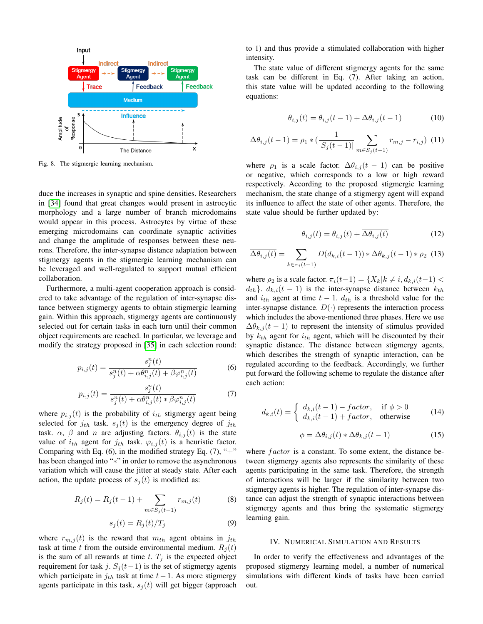

Fig. 8. The stigmergic learning mechanism.

duce the increases in synaptic and spine densities. Researchers in [\[34\]](#page-9-1) found that great changes would present in astrocytic morphology and a large number of branch microdomains would appear in this process. Astrocytes by virtue of these emerging microdomains can coordinate synaptic activities and change the amplitude of responses between these neurons. Therefore, the inter-synapse distance adaptation between stigmergy agents in the stigmergic learning mechanism can be leveraged and well-regulated to support mutual efficient collaboration.

Furthermore, a multi-agent cooperation approach is considered to take advantage of the regulation of inter-synapse distance between stigmergy agents to obtain stigmergic learning gain. Within this approach, stigmergy agents are continuously selected out for certain tasks in each turn until their common object requirements are reached. In particular, we leverage and modify the strategy proposed in [\[35\]](#page-9-2) in each selection round:

$$
p_{i,j}(t) = \frac{s_j^n(t)}{s_j^n(t) + \alpha \theta_{i,j}^n(t) + \beta \varphi_{i,j}^n(t)}
$$
(6)

$$
p_{i,j}(t) = \frac{s_j^n(t)}{s_j^n(t) + \alpha \theta_{i,j}^n(t) * \beta \varphi_{i,j}^n(t)}
$$
(7)

where  $p_{i,j}(t)$  is the probability of  $i_{th}$  stigmergy agent being selected for  $j_{th}$  task.  $s_j(t)$  is the emergency degree of  $j_{th}$ task.  $\alpha$ ,  $\beta$  and n are adjusting factors.  $\theta_{i,j}(t)$  is the state value of  $i_{th}$  agent for  $j_{th}$  task.  $\varphi_{i,j}(t)$  is a heuristic factor. Comparing with Eq.  $(6)$ , in the modified strategy Eq.  $(7)$ , "+" has been changed into "∗" in order to remove the asynchronous variation which will cause the jitter at steady state. After each action, the update process of  $s_j(t)$  is modified as:

$$
R_j(t) = R_j(t-1) + \sum_{m \in S_j(t-1)} r_{m,j}(t)
$$
 (8)

$$
s_j(t) = R_j(t)/T_j \tag{9}
$$

where  $r_{m,j}(t)$  is the reward that  $m_{th}$  agent obtains in  $j_{th}$ task at time t from the outside environmental medium.  $R_j(t)$ is the sum of all rewards at time t.  $T_j$  is the expected object requirement for task j.  $S_j(t-1)$  is the set of stigmergy agents which participate in  $j_{th}$  task at time  $t-1$ . As more stigmergy agents participate in this task,  $s_i(t)$  will get bigger (approach to 1) and thus provide a stimulated collaboration with higher intensity.

The state value of different stigmergy agents for the same task can be different in Eq. (7). After taking an action, this state value will be updated according to the following equations:

$$
\theta_{i,j}(t) = \theta_{i,j}(t-1) + \Delta\theta_{i,j}(t-1) \tag{10}
$$

$$
\Delta \theta_{i,j}(t-1) = \rho_1 * \left(\frac{1}{|S_j(t-1)|} \sum_{m \in S_j(t-1)} r_{m,j} - r_{i,j}\right) (11)
$$

where  $\rho_1$  is a scale factor.  $\Delta \theta_{i,j} (t-1)$  can be positive or negative, which corresponds to a low or high reward respectively. According to the proposed stigmergic learning mechanism, the state change of a stigmergy agent will expand its influence to affect the state of other agents. Therefore, the state value should be further updated by:

$$
\theta_{i,j}(t) = \theta_{i,j}(t) + \overline{\Delta \theta_{i,j}(t)}
$$
\n(12)

$$
\overline{\Delta \theta_{i,j}(t)} = \sum_{k \in \pi_i(t-1)} D(d_{k,i}(t-1)) * \Delta \theta_{k,j}(t-1) * \rho_2 \tag{13}
$$

where  $\rho_2$  is a scale factor.  $\pi_i(t-1) = \{X_k | k \neq i, d_{k,i}(t-1)$  $d_{th}$ .  $d_{k,i}(t-1)$  is the inter-synapse distance between  $k_{th}$ and  $i_{th}$  agent at time  $t - 1$ .  $d_{th}$  is a threshold value for the inter-synapse distance.  $D(\cdot)$  represents the interaction process which includes the above-mentioned three phases. Here we use  $\Delta \theta_{k,j} (t-1)$  to represent the intensity of stimulus provided by  $k_{th}$  agent for  $i_{th}$  agent, which will be discounted by their synaptic distance. The distance between stigmergy agents, which describes the strength of synaptic interaction, can be regulated according to the feedback. Accordingly, we further put forward the following scheme to regulate the distance after each action:

$$
d_{k,i}(t) = \begin{cases} d_{k,i}(t-1) - factor, & \text{if } \phi > 0\\ d_{k,i}(t-1) + factor, & \text{otherwise} \end{cases}
$$
(14)

$$
\phi = \Delta \theta_{i,j}(t) * \Delta \theta_{k,j}(t-1)
$$
\n(15)

where  $factor$  is a constant. To some extent, the distance between stigmergy agents also represents the similarity of these agents participating in the same task. Therefore, the strength of interactions will be larger if the similarity between two stigmergy agents is higher. The regulation of inter-synapse distance can adjust the strength of synaptic interactions between stigmergy agents and thus bring the systematic stigmergy learning gain.

### IV. NUMERICAL SIMULATION AND RESULTS

In order to verify the effectiveness and advantages of the proposed stigmergy learning model, a number of numerical simulations with different kinds of tasks have been carried out.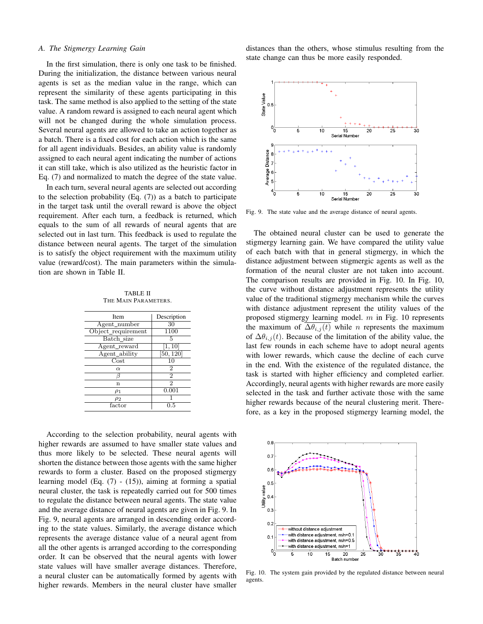## *A. The Stigmergy Learning Gain*

In the first simulation, there is only one task to be finished. During the initialization, the distance between various neural agents is set as the median value in the range, which can represent the similarity of these agents participating in this task. The same method is also applied to the setting of the state value. A random reward is assigned to each neural agent which will not be changed during the whole simulation process. Several neural agents are allowed to take an action together as a batch. There is a fixed cost for each action which is the same for all agent individuals. Besides, an ability value is randomly assigned to each neural agent indicating the number of actions it can still take, which is also utilized as the heuristic factor in Eq. (7) and normalized to match the degree of the state value.

In each turn, several neural agents are selected out according to the selection probability (Eq. (7)) as a batch to participate in the target task until the overall reward is above the object requirement. After each turn, a feedback is returned, which equals to the sum of all rewards of neural agents that are selected out in last turn. This feedback is used to regulate the distance between neural agents. The target of the simulation is to satisfy the object requirement with the maximum utility value (reward/cost). The main parameters within the simulation are shown in Table II.

TABLE II THE MAIN PARAMETERS.

| <b>Item</b>        | Description         |
|--------------------|---------------------|
| Agent_number       | 30                  |
| Object_requirement | 1100                |
| Batch size         | 5                   |
| Agent_reward       | $[1,1\overline{0}]$ |
| Agent_ability      | [50, 120]           |
| Cost               | 10                  |
| $\alpha$           | 2                   |
|                    | $\overline{2}$      |
| n                  | $\mathfrak{D}$      |
| $\rho_1$           | 0.001               |
| $\rho_2$           |                     |
| factor             | 0.5                 |
|                    |                     |

According to the selection probability, neural agents with higher rewards are assumed to have smaller state values and thus more likely to be selected. These neural agents will shorten the distance between those agents with the same higher rewards to form a cluster. Based on the proposed stigmergy learning model (Eq. (7) - (15)), aiming at forming a spatial neural cluster, the task is repeatedly carried out for 500 times to regulate the distance between neural agents. The state value and the average distance of neural agents are given in Fig. 9. In Fig. 9, neural agents are arranged in descending order according to the state values. Similarly, the average distance which represents the average distance value of a neural agent from all the other agents is arranged according to the corresponding order. It can be observed that the neural agents with lower state values will have smaller average distances. Therefore, a neural cluster can be automatically formed by agents with higher rewards. Members in the neural cluster have smaller

distances than the others, whose stimulus resulting from the state change can thus be more easily responded.



Fig. 9. The state value and the average distance of neural agents.

The obtained neural cluster can be used to generate the stigmergy learning gain. We have compared the utility value of each batch with that in general stigmergy, in which the distance adjustment between stigmergic agents as well as the formation of the neural cluster are not taken into account. The comparison results are provided in Fig. 10. In Fig. 10, the curve without distance adjustment represents the utility value of the traditional stigmergy mechanism while the curves with distance adjustment represent the utility values of the proposed stigmergy learning model. m in Fig. 10 represents the maximum of  $\Delta\theta_{i,j}(t)$  while *n* represents the maximum of  $\Delta \theta_{i,j}(t)$ . Because of the limitation of the ability value, the last few rounds in each scheme have to adopt neural agents with lower rewards, which cause the decline of each curve in the end. With the existence of the regulated distance, the task is started with higher efficiency and completed earlier. Accordingly, neural agents with higher rewards are more easily selected in the task and further activate those with the same higher rewards because of the neural clustering merit. Therefore, as a key in the proposed stigmergy learning model, the



Fig. 10. The system gain provided by the regulated distance between neural agents.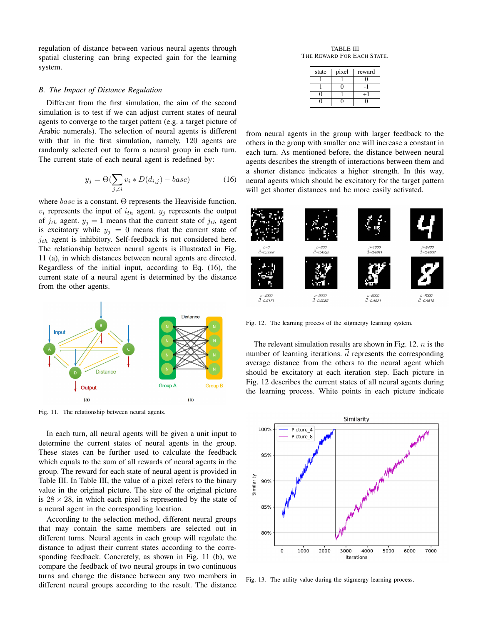regulation of distance between various neural agents through spatial clustering can bring expected gain for the learning system.

### *B. The Impact of Distance Regulation*

Different from the first simulation, the aim of the second simulation is to test if we can adjust current states of neural agents to converge to the target pattern (e.g. a target picture of Arabic numerals). The selection of neural agents is different with that in the first simulation, namely, 120 agents are randomly selected out to form a neural group in each turn. The current state of each neural agent is redefined by:

$$
y_j = \Theta(\sum_{j \neq i} v_i * D(d_{i,j}) - base)
$$
 (16)

where  $base$  is a constant.  $\Theta$  represents the Heaviside function.  $v_i$  represents the input of  $i_{th}$  agent.  $y_i$  represents the output of  $j_{th}$  agent.  $y_j = 1$  means that the current state of  $j_{th}$  agent is excitatory while  $y_i = 0$  means that the current state of  $j_{th}$  agent is inhibitory. Self-feedback is not considered here. The relationship between neural agents is illustrated in Fig. 11 (a), in which distances between neural agents are directed. Regardless of the initial input, according to Eq. (16), the current state of a neural agent is determined by the distance from the other agents.



Fig. 11. The relationship between neural agents.

In each turn, all neural agents will be given a unit input to determine the current states of neural agents in the group. These states can be further used to calculate the feedback which equals to the sum of all rewards of neural agents in the group. The reward for each state of neural agent is provided in Table III. In Table III, the value of a pixel refers to the binary value in the original picture. The size of the original picture is  $28 \times 28$ , in which each pixel is represented by the state of a neural agent in the corresponding location.

According to the selection method, different neural groups that may contain the same members are selected out in different turns. Neural agents in each group will regulate the distance to adjust their current states according to the corresponding feedback. Concretely, as shown in Fig. 11 (b), we compare the feedback of two neural groups in two continuous turns and change the distance between any two members in different neural groups according to the result. The distance

TABLE III THE REWARD FOR EACH STATE.

| state | pixel | reward |
|-------|-------|--------|
|       |       |        |
|       |       |        |
|       |       | $+1$   |
|       |       |        |

from neural agents in the group with larger feedback to the others in the group with smaller one will increase a constant in each turn. As mentioned before, the distance between neural agents describes the strength of interactions between them and a shorter distance indicates a higher strength. In this way, neural agents which should be excitatory for the target pattern will get shorter distances and be more easily activated.



Fig. 12. The learning process of the sitgmergy learning system.

The relevant simulation results are shown in Fig. 12.  $n$  is the number of learning iterations.  $\overline{d}$  represents the corresponding average distance from the others to the neural agent which should be excitatory at each iteration step. Each picture in Fig. 12 describes the current states of all neural agents during the learning process. White points in each picture indicate



Fig. 13. The utility value during the stigmergy learning process.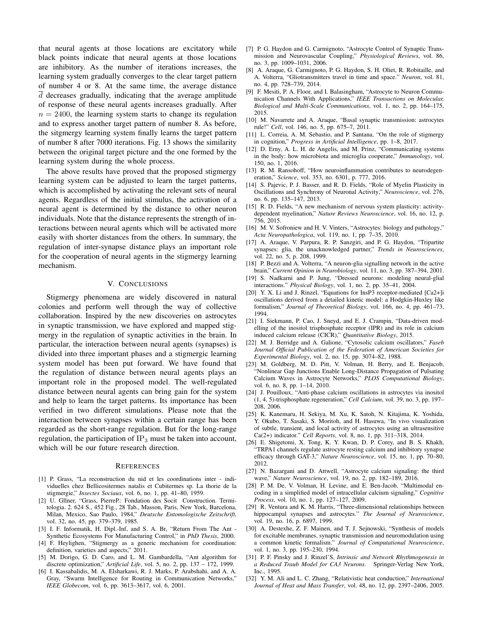that neural agents at those locations are excitatory while black points indicate that neural agents at those locations are inhibitory. As the number of iterations increases, the learning system gradually converges to the clear target pattern of number 4 or 8. At the same time, the average distance  $d$  decreases gradually, indicating that the average amplitude of response of these neural agents increases gradually. After  $n = 2400$ , the learning system starts to change its regulation and to express another target pattern of number 8. As before, the sitgmergy learning system finally learns the target pattern of number 8 after 7000 iterations. Fig. 13 shows the similarity between the original target picture and the one formed by the learning system during the whole process.

The above results have proved that the proposed stigmergy learning system can be adjusted to learn the target patterns, which is accomplished by activating the relevant sets of neural agents. Regardless of the initial stimulus, the activation of a neural agent is determined by the distance to other neuron individuals. Note that the distance represents the strength of interactions between neural agents which will be activated more easily with shorter distances from the others. In summary, the regulation of inter-synapse distance plays an important role for the cooperation of neural agents in the stigmergy learning mechanism.

### V. CONCLUSIONS

Stigmergy phenomena are widely discovered in natural colonies and perform well through the way of collective collaboration. Inspired by the new discoveries on astrocytes in synaptic transmission, we have explored and mapped stigmergy in the regulation of synaptic activities in the brain. In particular, the interaction between neural agents (synapses) is divided into three important phases and a stigmergic learning system model has been put forward. We have found that the regulation of distance between neural agents plays an important role in the proposed model. The well-regulated distance between neural agents can bring gain for the system and help to learn the target patterns. Its importance has been verified in two different simulations. Please note that the interaction between synapses within a certain range has been regarded as the short-range regulation. But for the long-range regulation, the participation of  $IP_3$  must be taken into account, which will be our future research direction.

### **REFERENCES**

- <span id="page-8-0"></span>[1] P. Grass, "La reconstruction du nid et les coordinations inter - individuelles chez Bellicositermes natalis et Cubitermes sp. La thorie de la stigmergie," *Insectes Sociaux*, vol. 6, no. 1, pp. 41–80, 1959.
- <span id="page-8-1"></span>[2] U. Gllner, "Grass, PierreP.: Fondation des Socit Construction. Termitologia. 2. 624 S., 452 Fig., 28 Tab., Masson, Paris, New York, Barcelona, Milan, Mexico, Sao Paulo, 1984," *Deutsche Entomologische Zeitschrift*, vol. 32, no. 45, pp. 379–379, 1985.
- <span id="page-8-2"></span>[3] I. F. Informatik, H. Dipl.-Inf, and S. A. Br, "Return From The Ant -Synthetic Ecosystems For Manufacturing Control," in *PhD Thesis*, 2000.
- <span id="page-8-3"></span>[4] F. Heylighen, "Stigmergy as a generic mechanism for coordination: definition, varieties and aspects," 2011.
- <span id="page-8-4"></span>[5] M. Dorigo, G. D. Caro, and L. M. Gambardella, "Ant algorithm for discrete optimization," *Artificial Life*, vol. 5, no. 2, pp. 137 – 172, 1999.
- <span id="page-8-5"></span>[6] I. Kassabalidis, M. A. Elsharkawi, R. J. Marks, P. Arabshahi, and A. A. Gray, "Swarm Intelligence for Routing in Communication Networks," *IEEE Globecom*, vol. 6, pp. 3613–3617, vol. 6, 2001.
- <span id="page-8-6"></span>[7] P. G. Haydon and G. Carmignoto, "Astrocyte Control of Synaptic Transmission and Neurovascular Coupling," *Physiological Reviews*, vol. 86, no. 3, pp. 1009–1031, 2006.
- <span id="page-8-7"></span>[8] A. Araque, G. Carmignoto, P. G. Haydon, S. H. Oliet, R. Robitaille, and A. Volterra, "Gliotransmitters travel in time and space." *Neuron*, vol. 81, no. 4, pp. 728–739, 2014.
- <span id="page-8-8"></span>[9] F. Mesiti, P. A. Floor, and I. Balasingham, "Astrocyte to Neuron Communication Channels With Applications," *IEEE Transactions on Molecular, Biological and Multi-Scale Communications*, vol. 1, no. 2, pp. 164–175, 2015.
- <span id="page-8-9"></span>[10] M. Navarrete and A. Araque, "Basal synaptic transmission: astrocytes rule!" *Cell*, vol. 146, no. 5, pp. 675–7, 2011.
- <span id="page-8-10"></span>[11] L. Correia, A. M. Sebastio, and P. Santana, "On the role of stigmergy in cognition," *Progress in Artificial Intelligence*, pp. 1–8, 2017.
- <span id="page-8-11"></span>[12] D. Erny, A. L. H. de Angelis, and M. Prinz, "Communicating systems in the body: how microbiota and microglia cooperate," *Immunology*, vol. 150, no. 1, 2016.
- <span id="page-8-12"></span>[13] R. M. Ransohoff, "How neuroinflammation contributes to neurodegeneration," *Science*, vol. 353, no. 6301, p. 777, 2016.
- <span id="page-8-13"></span>[14] S. Pajevic, P. J. Basser, and R. D. Fields, "Role of Myelin Plasticity in Oscillations and Synchrony of Neuronal Activity," *Neuroscience*, vol. 276, no. 6, pp. 135–147, 2013.
- <span id="page-8-14"></span>[15] R. D. Fields, "A new mechanism of nervous system plasticity: activitydependent myelination," *Nature Reviews Neuroscience*, vol. 16, no. 12, p. 756, 2015.
- <span id="page-8-15"></span>[16] M. V. Sofroniew and H. V. Vinters, "Astrocytes: biology and pathology," *Acta Neuropathologica*, vol. 119, no. 1, pp. 7–35, 2010.
- <span id="page-8-16"></span>[17] A. Araque, V. Parpura, R. P. Sanzgiri, and P. G. Haydon, "Tripartite synapses: glia, the unacknowledged partner," *Trends in Neurosciences*, vol. 22, no. 5, p. 208, 1999.
- <span id="page-8-17"></span>[18] P. Bezzi and A. Volterra, "A neuron-glia signalling network in the active brain," *Current Opinion in Neurobiology*, vol. 11, no. 3, pp. 387–394, 2001.
- <span id="page-8-18"></span>[19] S. Nadkarni and P. Jung, "Dressed neurons: modeling neural-glial interactions." *Physical Biology*, vol. 1, no. 2, pp. 35–41, 2004.
- <span id="page-8-19"></span>[20] Y. X. Li and J. Rinzel, "Equations for InsP3 receptor-mediated [Ca2+]i oscillations derived from a detailed kinetic model: a Hodgkin-Huxley like formalism," *Journal of Theoretical Biology*, vol. 166, no. 4, pp. 461–73, 1994.
- <span id="page-8-20"></span>[21] I. Siekmann, P. Cao, J. Sneyd, and E. J. Crampin, "Data-driven modelling of the inositol trisphosphate receptor (IPR) and its role in calcium induced calcium release (CICR)," *Quantitative Biology*, 2015.
- <span id="page-8-21"></span>[22] M. J. Berridge and A. Galione, "Cytosolic calcium oscillators," *Faseb Journal Official Publication of the Federation of American Societies for Experimental Biology*, vol. 2, no. 15, pp. 3074–82, 1988.
- <span id="page-8-22"></span>[23] M. Goldberg, M. D. Pitt, V. Volman, H. Berry, and E. Benjacob, "Nonlinear Gap Junctions Enable Long-Distance Propagation of Pulsating Calcium Waves in Astrocyte Networks," *PLOS Computational Biology*, vol. 6, no. 8, pp. 1–14, 2010.
- <span id="page-8-23"></span>[24] J. Pouilloux, "Anti-phase calcium oscillations in astrocytes via inositol (1, 4, 5)-trisphosphate regeneration," *Cell Calcium*, vol. 39, no. 3, pp. 197– 208, 2006.
- <span id="page-8-24"></span>[25] K. Kanemaru, H. Sekiya, M. Xu, K. Satoh, N. Kitajima, K. Yoshida, Y. Okubo, T. Sasaki, S. Moritoh, and H. Hasuwa, "In vivo visualization of subtle, transient, and local activity of astrocytes using an ultrasensitive Ca(2+) indicator." *Cell Reports*, vol. 8, no. 1, pp. 311–318, 2014.
- <span id="page-8-25"></span>[26] E. Shigetomi, X. Tong, K. Y. Kwan, D. P. Corey, and B. S. Khakh, "TRPA1 channels regulate astrocyte resting calcium and inhibitory synapse efficacy through GAT-3," *Nature Neuroscience*, vol. 15, no. 1, pp. 70–80, 2012.
- <span id="page-8-26"></span>[27] N. Bazargani and D. Attwell, "Astrocyte calcium signaling: the third wave," *Nature Neuroscience*, vol. 19, no. 2, pp. 182–189, 2016.
- <span id="page-8-27"></span>[28] P. M. De, V. Volman, H. Levine, and E. Ben-Jacob, "Multimodal encoding in a simplified model of intracellular calcium signaling," *Cognitive Process*, vol. 10, no. 1, pp. 127–127, 2009.
- <span id="page-8-28"></span>[29] R. Ventura and K. M. Harris, "Three-dimensional relationships between hippocampal synapses and astrocytes." *The Journal of Neuroscience*, vol. 19, no. 16, p. 6897, 1999.
- <span id="page-8-29"></span>[30] A. Destexhe, Z. F. Mainen, and T. J. Sejnowski, "Synthesis of models for excitable membranes, synaptic transmission and neuromodulation using a common kinetic formalism." *Journal of Computational Neuroscience*, vol. 1, no. 3, pp. 195–230, 1994.
- <span id="page-8-30"></span>[31] P. F. Pinsky and J. Rinzel'S, *Intrinsic and Network Rhythmogenesis in a Reduced Traub Model for CA3 Neurons*. Springer-Verlag New York, Inc., 1995.
- <span id="page-8-31"></span>[32] Y. M. Ali and L. C. Zhang, "Relativistic heat conduction," *International Journal of Heat and Mass Transfer*, vol. 48, no. 12, pp. 2397–2406, 2005.